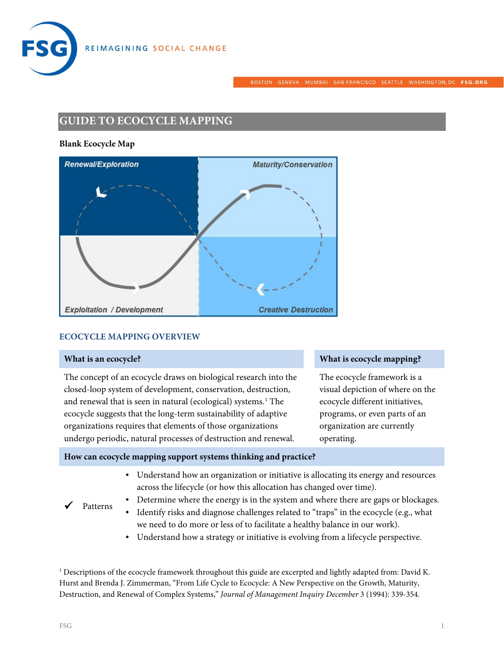



BOSTON GENEVA MUMBAI SANFRANCISCO SEATTLE WASHINGTON, DC FSG.ORG

# **GUIDE TO ECOCYCLE MAPPING**

#### **Blank Ecocycle Map**



#### **ECOCYCLE MAPPING OVERVIEW**

Patterns

The concept of an ecocycle draws on biological research into the closed-loop system of development, conservation, destruction, and renewal that is seen in natural (ecological) systems.<sup>[1](#page-0-0)</sup> The ecocycle suggests that the long-term sustainability of adaptive organizations requires that elements of those organizations undergo periodic, natural processes of destruction and renewal.

#### **What is an ecocycle? What is ecocycle mapping?**

The ecocycle framework is a visual depiction of where on the ecocycle different initiatives, programs, or even parts of an organization are currently operating.

#### **How can ecocycle mapping support systems thinking and practice?**

• Understand how an organization or initiative is allocating its energy and resources across the lifecycle (or how this allocation has changed over time).

• Determine where the energy is in the system and where there are gaps or blockages.

- Identify risks and diagnose challenges related to "traps" in the ecocycle (e.g., what we need to do more or less of to facilitate a healthy balance in our work).
	- Understand how a strategy or initiative is evolving from a lifecycle perspective.

<span id="page-0-0"></span><sup>1</sup> Descriptions of the ecocycle framework throughout this guide are excerpted and lightly adapted from: David K. Hurst and Brenda J. Zimmerman, "From Life Cycle to Ecocycle: A New Perspective on the Growth, Maturity, Destruction, and Renewal of Complex Systems," *Journal of Management Inquiry December* 3 (1994): 339-354.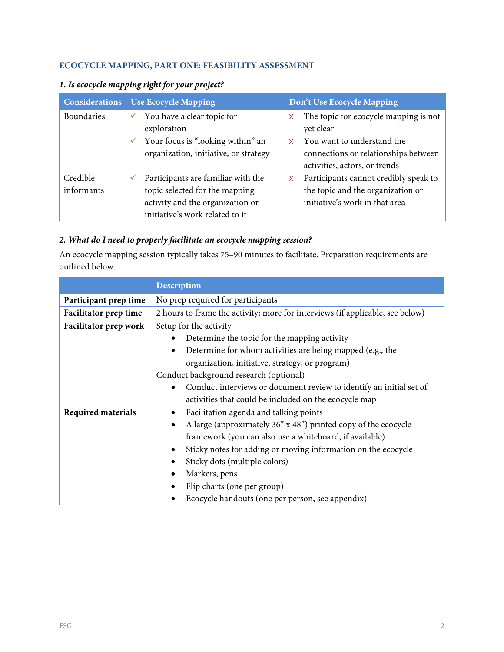# **ECOCYCLE MAPPING, PART ONE: FEASIBILITY ASSESSMENT**

| <b>Considerations</b> | <b>Use Ecocycle Mapping</b>                                                     | Don't Use Ecocycle Mapping                                                                          |
|-----------------------|---------------------------------------------------------------------------------|-----------------------------------------------------------------------------------------------------|
| Boundaries            | You have a clear topic for<br>✓<br>exploration                                  | The topic for ecocycle mapping is not<br>X<br>yet clear                                             |
|                       | Your focus is "looking within" an<br>✓<br>organization, initiative, or strategy | You want to understand the<br>connections or relationships between<br>activities, actors, or trends |
| Credible              | Participants are familiar with the                                              | Participants cannot credibly speak to<br>X.                                                         |
| informants            | topic selected for the mapping                                                  | the topic and the organization or                                                                   |
|                       | activity and the organization or                                                | initiative's work in that area                                                                      |
|                       | initiative's work related to it                                                 |                                                                                                     |

# *1. Is ecocycle mapping right for your project?*

# *2. What do I need to properly facilitate an ecocycle mapping session?*

An ecocycle mapping session typically takes 75–90 minutes to facilitate. Preparation requirements are outlined below.

|                              | <b>Description</b>                                                            |  |
|------------------------------|-------------------------------------------------------------------------------|--|
| Participant prep time        | No prep required for participants                                             |  |
| <b>Facilitator prep time</b> | 2 hours to frame the activity; more for interviews (if applicable, see below) |  |
| Facilitator prep work        | Setup for the activity                                                        |  |
|                              | Determine the topic for the mapping activity                                  |  |
|                              | Determine for whom activities are being mapped (e.g., the<br>$\bullet$        |  |
|                              | organization, initiative, strategy, or program)                               |  |
|                              | Conduct background research (optional)                                        |  |
|                              | Conduct interviews or document review to identify an initial set of           |  |
|                              | activities that could be included on the ecocycle map                         |  |
| <b>Required materials</b>    | Facilitation agenda and talking points                                        |  |
|                              | A large (approximately 36" x 48") printed copy of the ecocycle<br>٠           |  |
|                              | framework (you can also use a whiteboard, if available)                       |  |
|                              | Sticky notes for adding or moving information on the ecocycle                 |  |
|                              | Sticky dots (multiple colors)                                                 |  |
|                              | Markers, pens                                                                 |  |
|                              | Flip charts (one per group)                                                   |  |
|                              | Ecocycle handouts (one per person, see appendix)                              |  |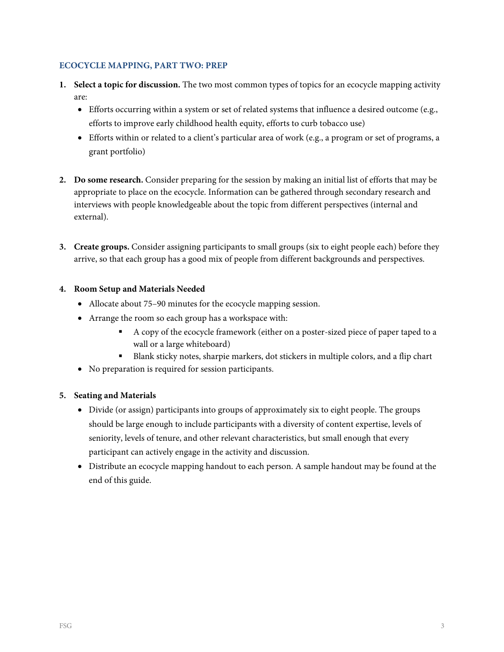# **ECOCYCLE MAPPING, PART TWO: PREP**

- **1. Select a topic for discussion.** The two most common types of topics for an ecocycle mapping activity are:
	- Efforts occurring within a system or set of related systems that influence a desired outcome (e.g., efforts to improve early childhood health equity, efforts to curb tobacco use)
	- Efforts within or related to a client's particular area of work (e.g., a program or set of programs, a grant portfolio)
- **2. Do some research.** Consider preparing for the session by making an initial list of efforts that may be appropriate to place on the ecocycle. Information can be gathered through secondary research and interviews with people knowledgeable about the topic from different perspectives (internal and external).
- **3. Create groups.** Consider assigning participants to small groups (six to eight people each) before they arrive, so that each group has a good mix of people from different backgrounds and perspectives.

## **4. Room Setup and Materials Needed**

- Allocate about 75–90 minutes for the ecocycle mapping session.
- Arrange the room so each group has a workspace with:
	- A copy of the ecocycle framework (either on a poster-sized piece of paper taped to a wall or a large whiteboard)
	- Blank sticky notes, sharpie markers, dot stickers in multiple colors, and a flip chart
- No preparation is required for session participants.

# **5. Seating and Materials**

- Divide (or assign) participants into groups of approximately six to eight people. The groups should be large enough to include participants with a diversity of content expertise, levels of seniority, levels of tenure, and other relevant characteristics, but small enough that every participant can actively engage in the activity and discussion.
- Distribute an ecocycle mapping handout to each person. A sample handout may be found at the end of this guide.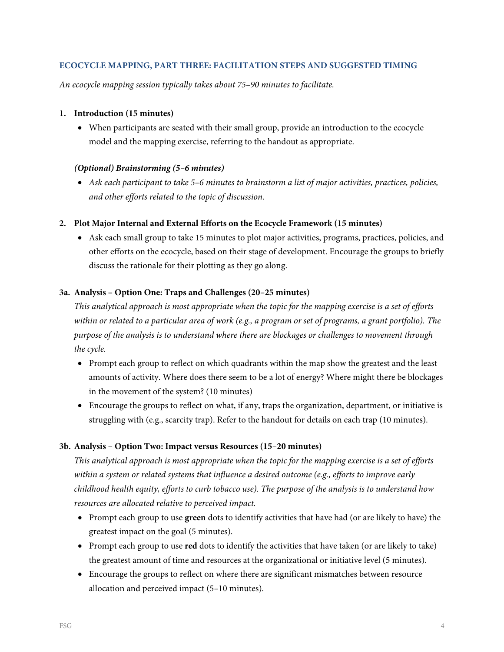## **ECOCYCLE MAPPING, PART THREE: FACILITATION STEPS AND SUGGESTED TIMING**

*An ecocycle mapping session typically takes about 75–90 minutes to facilitate.*

#### **1. Introduction (15 minutes)**

• When participants are seated with their small group, provide an introduction to the ecocycle model and the mapping exercise, referring to the handout as appropriate.

## *(Optional) Brainstorming (5–6 minutes)*

• *Ask each participant to take 5–6 minutes to brainstorm a list of major activities, practices, policies, and other efforts related to the topic of discussion.* 

## **2. Plot Major Internal and External Efforts on the Ecocycle Framework (15 minutes)**

• Ask each small group to take 15 minutes to plot major activities, programs, practices, policies, and other efforts on the ecocycle, based on their stage of development. Encourage the groups to briefly discuss the rationale for their plotting as they go along.

## **3a. Analysis – Option One: Traps and Challenges (20***–***25 minutes)**

*This analytical approach is most appropriate when the topic for the mapping exercise is a set of efforts within or related to a particular area of work (e.g., a program or set of programs, a grant portfolio). The purpose of the analysis is to understand where there are blockages or challenges to movement through the cycle.*

- Prompt each group to reflect on which quadrants within the map show the greatest and the least amounts of activity. Where does there seem to be a lot of energy? Where might there be blockages in the movement of the system? (10 minutes)
- Encourage the groups to reflect on what, if any, traps the organization, department, or initiative is struggling with (e.g., scarcity trap). Refer to the handout for details on each trap (10 minutes).

# **3b. Analysis – Option Two: Impact versus Resources (15***–***20 minutes)**

*This analytical approach is most appropriate when the topic for the mapping exercise is a set of efforts within a system or related systems that influence a desired outcome (e.g., efforts to improve early childhood health equity, efforts to curb tobacco use). The purpose of the analysis is to understand how resources are allocated relative to perceived impact.*

- Prompt each group to use **green** dots to identify activities that have had (or are likely to have) the greatest impact on the goal (5 minutes).
- Prompt each group to use **red** dots to identify the activities that have taken (or are likely to take) the greatest amount of time and resources at the organizational or initiative level (5 minutes).
- Encourage the groups to reflect on where there are significant mismatches between resource allocation and perceived impact (5*–*10 minutes).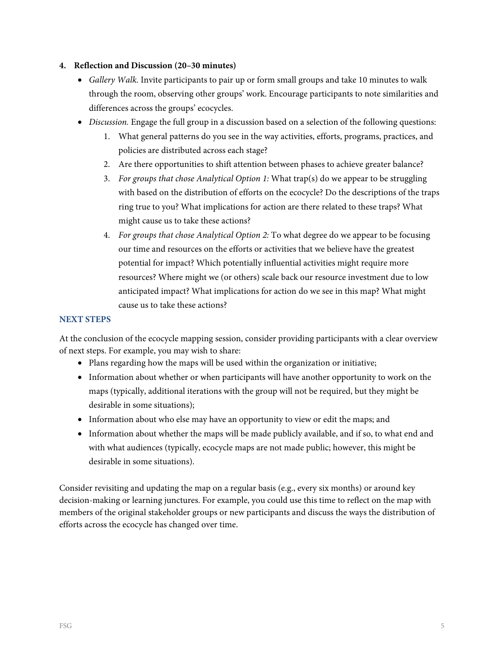## **4. Reflection and Discussion (20***–***30 minutes)**

- *Gallery Walk.* Invite participants to pair up or form small groups and take 10 minutes to walk through the room, observing other groups' work. Encourage participants to note similarities and differences across the groups' ecocycles.
- *Discussion.* Engage the full group in a discussion based on a selection of the following questions:
	- 1. What general patterns do you see in the way activities, efforts, programs, practices, and policies are distributed across each stage?
	- 2. Are there opportunities to shift attention between phases to achieve greater balance?
	- 3. *For groups that chose Analytical Option 1:* What trap(s) do we appear to be struggling with based on the distribution of efforts on the ecocycle? Do the descriptions of the traps ring true to you? What implications for action are there related to these traps? What might cause us to take these actions?
	- 4. *For groups that chose Analytical Option 2:* To what degree do we appear to be focusing our time and resources on the efforts or activities that we believe have the greatest potential for impact? Which potentially influential activities might require more resources? Where might we (or others) scale back our resource investment due to low anticipated impact? What implications for action do we see in this map? What might cause us to take these actions?

# **NEXT STEPS**

At the conclusion of the ecocycle mapping session, consider providing participants with a clear overview of next steps. For example, you may wish to share:

- Plans regarding how the maps will be used within the organization or initiative;
- Information about whether or when participants will have another opportunity to work on the maps (typically, additional iterations with the group will not be required, but they might be desirable in some situations);
- Information about who else may have an opportunity to view or edit the maps; and
- Information about whether the maps will be made publicly available, and if so, to what end and with what audiences (typically, ecocycle maps are not made public; however, this might be desirable in some situations).

Consider revisiting and updating the map on a regular basis (e.g., every six months) or around key decision-making or learning junctures. For example, you could use this time to reflect on the map with members of the original stakeholder groups or new participants and discuss the ways the distribution of efforts across the ecocycle has changed over time.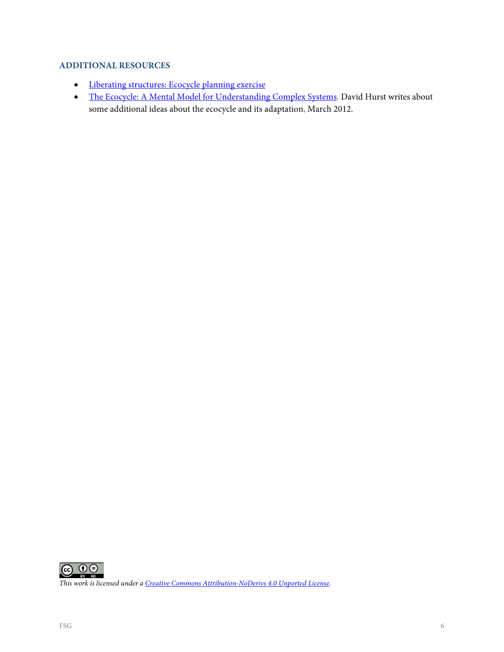# **ADDITIONAL RESOURCES**

- [Liberating structures: Ecocycle planning exercise](http://www.liberatingstructures.com/31-ecocycle-planning/)
- [The Ecocycle: A Mental Model for Understanding Complex Systems.](http://www.davidkhurst.com/the-ecocycle-a-mental-model-for-understanding-complex-systems-2/) David Hurst writes about some additional ideas about the ecocycle and its adaptation, March 2012.



*This work is licensed under [a Creative Commons Attribution-NoDerivs 4.0 Unported License.](https://creativecommons.org/licenses/by-nd/4.0/)*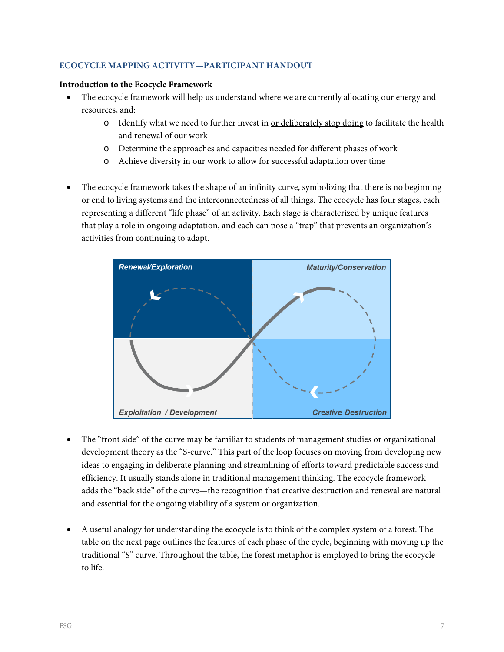# **ECOCYCLE MAPPING ACTIVITY—PARTICIPANT HANDOUT**

#### **Introduction to the Ecocycle Framework**

- The ecocycle framework will help us understand where we are currently allocating our energy and resources, and:
	- $\circ$  Identify what we need to further invest in <u>or deliberately stop doing</u> to facilitate the health and renewal of our work
	- o Determine the approaches and capacities needed for different phases of work
	- o Achieve diversity in our work to allow for successful adaptation over time
- The ecocycle framework takes the shape of an infinity curve, symbolizing that there is no beginning or end to living systems and the interconnectedness of all things. The ecocycle has four stages, each representing a different "life phase" of an activity. Each stage is characterized by unique features that play a role in ongoing adaptation, and each can pose a "trap" that prevents an organization's activities from continuing to adapt.



- The "front side" of the curve may be familiar to students of management studies or organizational development theory as the "S-curve." This part of the loop focuses on moving from developing new ideas to engaging in deliberate planning and streamlining of efforts toward predictable success and efficiency. It usually stands alone in traditional management thinking. The ecocycle framework adds the "back side" of the curve—the recognition that creative destruction and renewal are natural and essential for the ongoing viability of a system or organization.
- A useful analogy for understanding the ecocycle is to think of the complex system of a forest. The table on the next page outlines the features of each phase of the cycle, beginning with moving up the traditional "S" curve. Throughout the table, the forest metaphor is employed to bring the ecocycle to life.